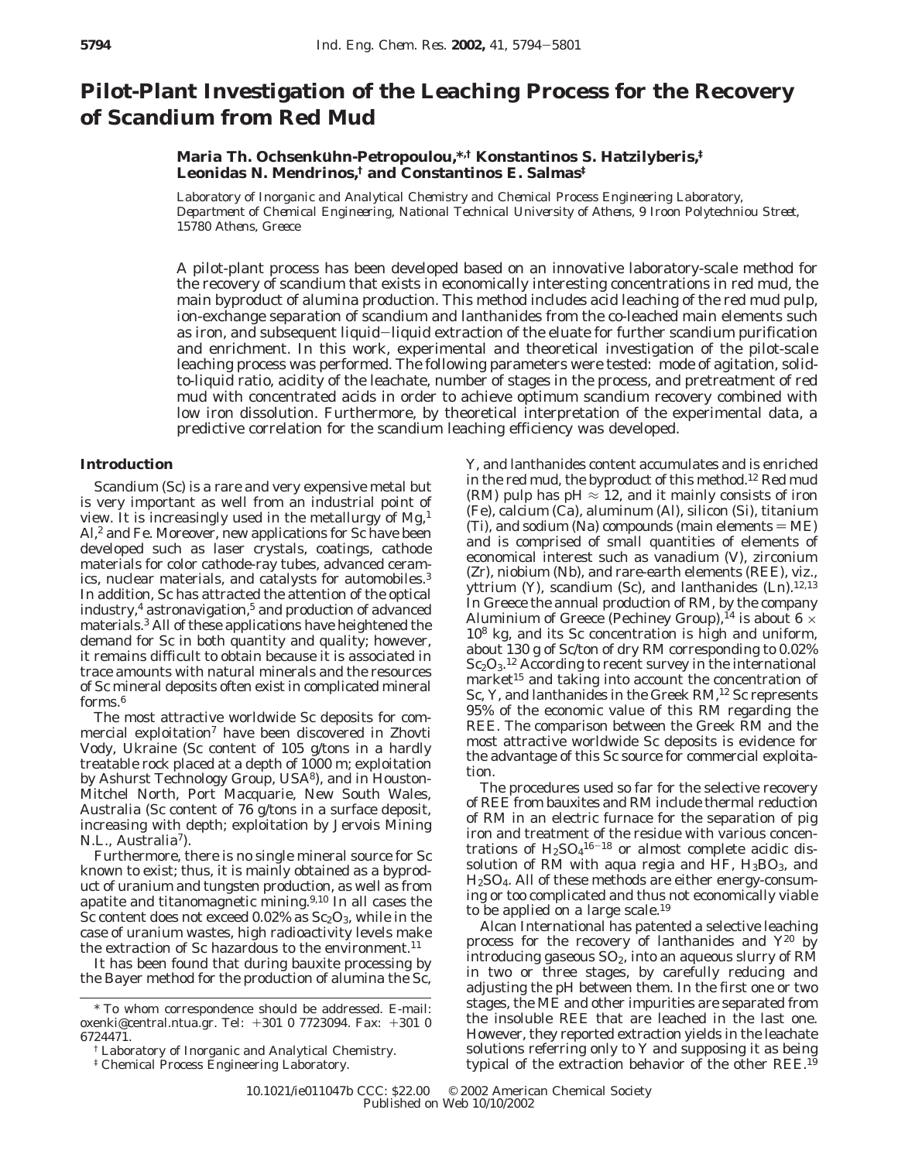# **Pilot-Plant Investigation of the Leaching Process for the Recovery of Scandium from Red Mud**

## **Maria Th. Ochsenku**1**hn-Petropoulou,\*,† Konstantinos S. Hatzilyberis,‡ Leonidas N. Mendrinos,† and Constantinos E. Salmas‡**

*Laboratory of Inorganic and Analytical Chemistry and Chemical Process Engineering Laboratory, Department of Chemical Engineering, National Technical University of Athens, 9 Iroon Polytechniou Street, 15780 Athens, Greece*

A pilot-plant process has been developed based on an innovative laboratory-scale method for the recovery of scandium that exists in economically interesting concentrations in red mud, the main byproduct of alumina production. This method includes acid leaching of the red mud pulp, ion-exchange separation of scandium and lanthanides from the co-leached main elements such as iron, and subsequent liquid-liquid extraction of the eluate for further scandium purification and enrichment. In this work, experimental and theoretical investigation of the pilot-scale leaching process was performed. The following parameters were tested: mode of agitation, solidto-liquid ratio, acidity of the leachate, number of stages in the process, and pretreatment of red mud with concentrated acids in order to achieve optimum scandium recovery combined with low iron dissolution. Furthermore, by theoretical interpretation of the experimental data, a predictive correlation for the scandium leaching efficiency was developed.

## **Introduction**

Scandium (Sc) is a rare and very expensive metal but is very important as well from an industrial point of view. It is increasingly used in the metallurgy of  $Mg<sub>1</sub>$ <sup>1</sup> Al,<sup>2</sup> and Fe. Moreover, new applications for Sc have been developed such as laser crystals, coatings, cathode materials for color cathode-ray tubes, advanced ceramics, nuclear materials, and catalysts for automobiles.3 In addition, Sc has attracted the attention of the optical industry, $4$  astronavigation, $5$  and production of advanced materials.3 All of these applications have heightened the demand for Sc in both quantity and quality; however, it remains difficult to obtain because it is associated in trace amounts with natural minerals and the resources of Sc mineral deposits often exist in complicated mineral forms.6

The most attractive worldwide Sc deposits for commercial exploitation<sup>7</sup> have been discovered in Zhovti Vody, Ukraine (Sc content of 105 g/tons in a hardly treatable rock placed at a depth of 1000 m; exploitation by Ashurst Technology Group, USA<sup>8</sup>), and in Houston-Mitchel North, Port Macquarie, New South Wales, Australia (Sc content of 76 g/tons in a surface deposit, increasing with depth; exploitation by Jervois Mining N.L., Australia<sup>7</sup>).

Furthermore, there is no single mineral source for Sc known to exist; thus, it is mainly obtained as a byproduct of uranium and tungsten production, as well as from apatite and titanomagnetic mining.9,10 In all cases the Sc content does not exceed  $0.02\%$  as  $Sc<sub>2</sub>O<sub>3</sub>$ , while in the case of uranium wastes, high radioactivity levels make the extraction of Sc hazardous to the environment.<sup>11</sup>

It has been found that during bauxite processing by the Bayer method for the production of alumina the Sc, Y, and lanthanides content accumulates and is enriched in the red mud, the byproduct of this method.12 Red mud (RM) pulp has pH  $\approx$  12, and it mainly consists of iron (Fe), calcium (Ca), aluminum (Al), silicon (Si), titanium (Ti), and sodium (Na) compounds (main elements  $= ME$ ) and is comprised of small quantities of elements of economical interest such as vanadium (V), zirconium (Zr), niobium (Nb), and rare-earth elements (REE), viz., yttrium (Y), scandium (Sc), and lanthanides  $(Ln)$ .<sup>12,13</sup> In Greece the annual production of RM, by the company Aluminium of Greece (Pechiney Group),  $^{14}$  is about 6  $\times$ 108 kg, and its Sc concentration is high and uniform, about 130 g of Sc/ton of dry RM corresponding to 0.02% Sc<sub>2</sub>O<sub>3</sub>.<sup>12</sup> According to recent survey in the international market<sup>15</sup> and taking into account the concentration of Sc, Y, and lanthanides in the Greek RM,<sup>12</sup> Sc represents 95% of the economic value of this RM regarding the REE. The comparison between the Greek RM and the most attractive worldwide Sc deposits is evidence for the advantage of this Sc source for commercial exploitation.

The procedures used so far for the selective recovery of REE from bauxites and RM include thermal reduction of RM in an electric furnace for the separation of pig iron and treatment of the residue with various concentrations of  $H_2SO_4^{16-18}$  or almost complete acidic dissolution of RM with aqua regia and HF,  $H_3BO_3$ , and H2SO4. All of these methods are either energy-consuming or too complicated and thus not economically viable to be applied on a large scale.19

Alcan International has patented a selective leaching process for the recovery of lanthanides and  $Y^{20}$  by introducing gaseous SO<sub>2</sub>, into an aqueous slurry of RM in two or three stages, by carefully reducing and adjusting the pH between them. In the first one or two stages, the ME and other impurities are separated from the insoluble REE that are leached in the last one. However, they reported extraction yields in the leachate solutions referring only to Y and supposing it as being typical of the extraction behavior of the other REE.19

<sup>\*</sup> To whom correspondence should be addressed. E-mail: oxenki@central.ntua.gr. Tel: +301 0 7723094. Fax: +301 0 6724471.

<sup>†</sup> Laboratory of Inorganic and Analytical Chemistry.

<sup>‡</sup> Chemical Process Engineering Laboratory.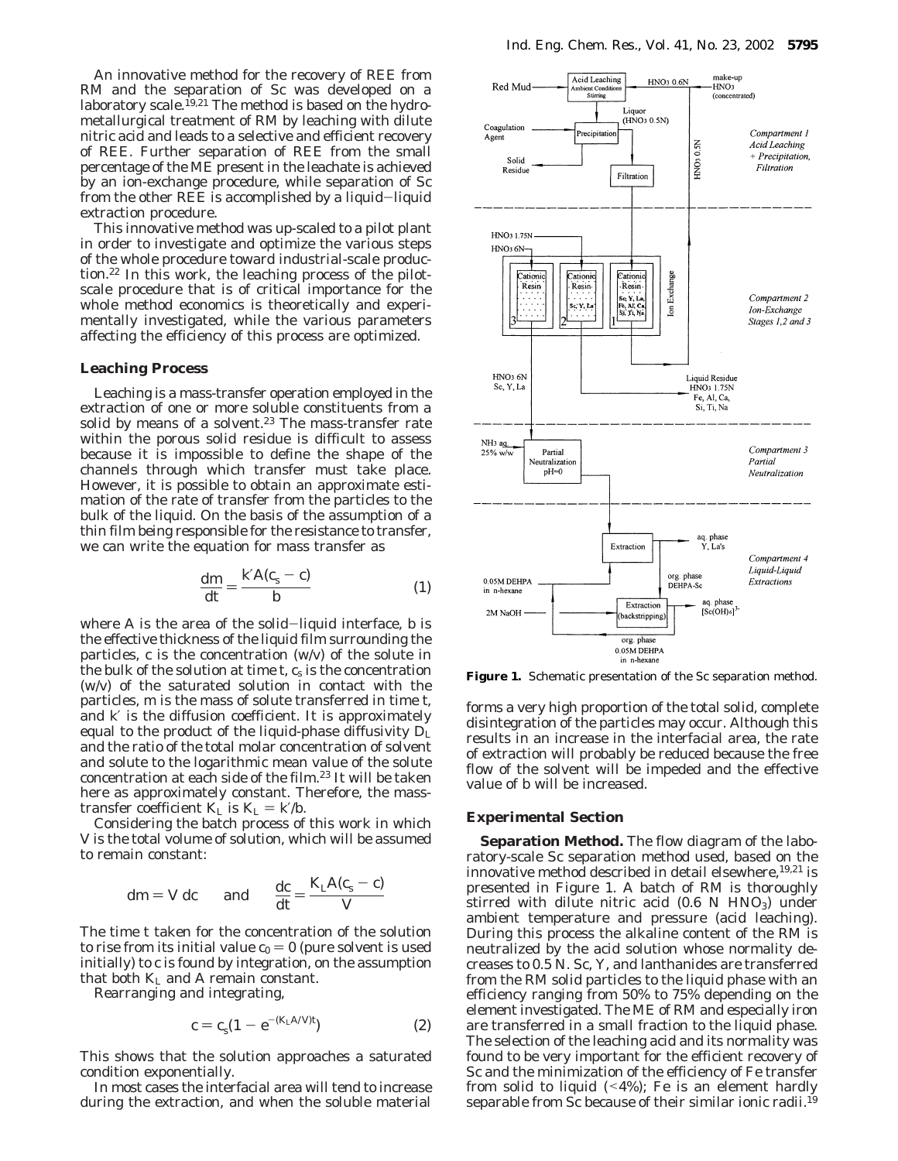An innovative method for the recovery of REE from RM and the separation of Sc was developed on a laboratory scale.<sup>19,21</sup> The method is based on the hydrometallurgical treatment of RM by leaching with dilute nitric acid and leads to a selective and efficient recovery of REE. Further separation of REE from the small percentage of the ME present in the leachate is achieved by an ion-exchange procedure, while separation of Sc from the other REE is accomplished by a liquid-liquid extraction procedure.

This innovative method was up-scaled to a pilot plant in order to investigate and optimize the various steps of the whole procedure toward industrial-scale production.22 In this work, the leaching process of the pilotscale procedure that is of critical importance for the whole method economics is theoretically and experimentally investigated, while the various parameters affecting the efficiency of this process are optimized.

#### **Leaching Process**

Leaching is a mass-transfer operation employed in the extraction of one or more soluble constituents from a solid by means of a solvent.<sup>23</sup> The mass-transfer rate within the porous solid residue is difficult to assess because it is impossible to define the shape of the channels through which transfer must take place. However, it is possible to obtain an approximate estimation of the rate of transfer from the particles to the bulk of the liquid. On the basis of the assumption of a thin film being responsible for the resistance to transfer, we can write the equation for mass transfer as

$$
\frac{\mathrm{d}m}{\mathrm{d}t} = \frac{KA(c_{\mathrm{s}} - c)}{b} \tag{1}
$$

where *<sup>A</sup>* is the area of the solid-liquid interface, *<sup>b</sup>* is the effective thickness of the liquid film surrounding the particles,  $c$  is the concentration  $(w/v)$  of the solute in the bulk of the solution at time  $t$ ,  $c_s$  is the concentration (w/v) of the saturated solution in contact with the particles, *m* is the mass of solute transferred in time *t*, and *k*′ is the diffusion coefficient. It is approximately equal to the product of the liquid-phase diffusivity *D*<sup>L</sup> and the ratio of the total molar concentration of solvent and solute to the logarithmic mean value of the solute concentration at each side of the film.23 It will be taken here as approximately constant. Therefore, the masstransfer coefficient  $K_L$  is  $K_L = k/b$ .

Considering the batch process of this work in which *V* is the total volume of solution, which will be assumed to remain constant:

$$
dm = Vdc
$$
 and  $\frac{dc}{dt} = \frac{K_L A(c_s - c)}{V}$ 

The time t taken for the concentration of the solution to rise from its initial value  $c_0 = 0$  (pure solvent is used initially) to *c* is found by integration, on the assumption that both  $K_{\text{L}}$  and A remain constant.

Rearranging and integrating,

$$
c = c_{\rm s} (1 - \mathrm{e}^{-(K_{\rm L} A^\prime V)t}) \tag{2}
$$

This shows that the solution approaches a saturated condition exponentially.

In most cases the interfacial area will tend to increase during the extraction, and when the soluble material



**Figure 1.** Schematic presentation of the Sc separation method.

forms a very high proportion of the total solid, complete disintegration of the particles may occur. Although this results in an increase in the interfacial area, the rate of extraction will probably be reduced because the free flow of the solvent will be impeded and the effective value of *b* will be increased.

## **Experimental Section**

**Separation Method.** The flow diagram of the laboratory-scale Sc separation method used, based on the innovative method described in detail elsewhere,  $19,21$  is presented in Figure 1. A batch of RM is thoroughly stirred with dilute nitric acid  $(0.6 \text{ N HNO}_3)$  under ambient temperature and pressure (acid leaching). During this process the alkaline content of the RM is neutralized by the acid solution whose normality decreases to 0.5 N. Sc, Y, and lanthanides are transferred from the RM solid particles to the liquid phase with an efficiency ranging from 50% to 75% depending on the element investigated. The ME of RM and especially iron are transferred in a small fraction to the liquid phase. The selection of the leaching acid and its normality was found to be very important for the efficient recovery of Sc and the minimization of the efficiency of Fe transfer from solid to liquid  $($  <4%); Fe is an element hardly separable from Sc because of their similar ionic radii.<sup>19</sup>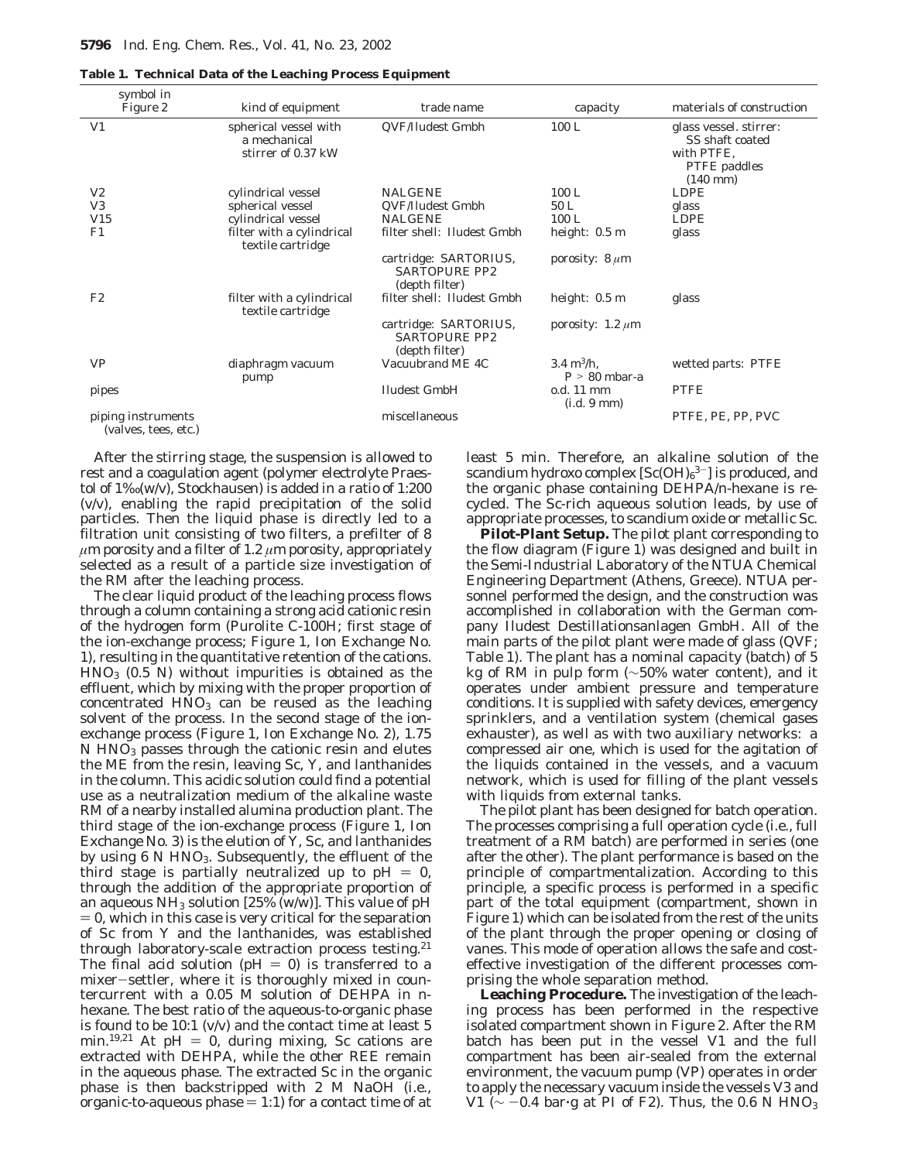|  |  |  |  |  |  |  | Table 1. Technical Data of the Leaching Process Equipment |  |  |  |
|--|--|--|--|--|--|--|-----------------------------------------------------------|--|--|--|
|--|--|--|--|--|--|--|-----------------------------------------------------------|--|--|--|

| symbol in                                  |                                                             |                                                                 |                                                 |                                                                                                 |
|--------------------------------------------|-------------------------------------------------------------|-----------------------------------------------------------------|-------------------------------------------------|-------------------------------------------------------------------------------------------------|
| Figure 2                                   | kind of equipment                                           | trade name                                                      | capacity                                        | materials of construction                                                                       |
| V <sub>1</sub>                             | spherical vessel with<br>a mechanical<br>stirrer of 0.37 kW | <b>QVF/Iludest Gmbh</b>                                         | 100L                                            | glass vessel. stirrer:<br>SS shaft coated<br>with PTFE,<br><b>PTFE</b> paddles<br>$(140$ mm $)$ |
| V <sub>2</sub>                             | cylindrical vessel                                          | <b>NALGENE</b>                                                  | 100L                                            | <b>LDPE</b>                                                                                     |
| V <sub>3</sub>                             | spherical vessel                                            | <b>QVF/Iludest Gmbh</b>                                         | 50 L                                            | glass                                                                                           |
| V15                                        | cylindrical vessel                                          | <b>NALGENE</b>                                                  | 100L                                            | <b>LDPE</b>                                                                                     |
| F1                                         | filter with a cylindrical<br>textile cartridge              | filter shell: Iludest Gmbh                                      | height: $0.5 \text{ m}$                         | glass                                                                                           |
|                                            |                                                             | cartridge: SARTORIUS,<br><b>SARTOPURE PP2</b><br>(depth filter) | porosity: $8 \mu m$                             |                                                                                                 |
| F2                                         | filter with a cylindrical<br>textile cartridge              | filter shell: Iludest Gmbh                                      | height: $0.5 \text{ m}$                         | glass                                                                                           |
|                                            |                                                             | cartridge: SARTORIUS,<br><b>SARTOPURE PP2</b><br>(depth filter) | porosity: $1.2 \mu m$                           |                                                                                                 |
| <b>VP</b>                                  | diaphragm vacuum<br>pump                                    | Vacuubrand ME 4C                                                | $3.4 \text{ m}^3/\text{h}$ .<br>$P > 80$ mbar-a | wetted parts: PTFE                                                                              |
| pipes                                      |                                                             | <b>Iludest GmbH</b>                                             | o.d. 11 mm<br>(i.d. 9 mm)                       | <b>PTFE</b>                                                                                     |
| piping instruments<br>(valves, tees, etc.) |                                                             | miscellaneous                                                   |                                                 | PTFE, PE, PP, PVC                                                                               |

After the stirring stage, the suspension is allowed to rest and a coagulation agent (polymer electrolyte Praestol of 1‰ (w/v), Stockhausen) is added in a ratio of 1:200 (v/v), enabling the rapid precipitation of the solid particles. Then the liquid phase is directly led to a filtration unit consisting of two filters, a prefilter of 8  $\mu$ m porosity and a filter of 1.2  $\mu$ m porosity, appropriately selected as a result of a particle size investigation of the RM after the leaching process.

The clear liquid product of the leaching process flows through a column containing a strong acid cationic resin of the hydrogen form (Purolite C-100H; first stage of the ion-exchange process; Figure 1, Ion Exchange No. 1), resulting in the quantitative retention of the cations.  $HNO<sub>3</sub>$  (0.5 N) without impurities is obtained as the effluent, which by mixing with the proper proportion of concentrated  $HNO<sub>3</sub>$  can be reused as the leaching solvent of the process. In the second stage of the ionexchange process (Figure 1, Ion Exchange No. 2), 1.75 N HNO3 passes through the cationic resin and elutes the ME from the resin, leaving Sc, Y, and lanthanides in the column. This acidic solution could find a potential use as a neutralization medium of the alkaline waste RM of a nearby installed alumina production plant. The third stage of the ion-exchange process (Figure 1, Ion Exchange No. 3) is the elution of Y, Sc, and lanthanides by using  $6 \text{ N HNO}_3$ . Subsequently, the effluent of the third stage is partially neutralized up to  $pH = 0$ , through the addition of the appropriate proportion of an aqueous NH<sub>3</sub> solution [25% (w/w)]. This value of pH  $= 0$ , which in this case is very critical for the separation of Sc from Y and the lanthanides, was established through laboratory-scale extraction process testing.<sup>21</sup> The final acid solution ( $pH = 0$ ) is transferred to a mixer-settler, where it is thoroughly mixed in countercurrent with a 0.05 M solution of DEHPA in *n*hexane. The best ratio of the aqueous-to-organic phase is found to be 10:1 (v/v) and the contact time at least 5 min.<sup>19,21</sup> At  $pH = 0$ , during mixing, Sc cations are extracted with DEHPA, while the other REE remain in the aqueous phase. The extracted Sc in the organic phase is then backstripped with 2 M NaOH (i.e., organic-to-aqueous phase  $= 1:1$ ) for a contact time of at

least 5 min. Therefore, an alkaline solution of the scandium hydroxo complex  $[{\rm Sc}({\rm OH})_{6}{}^{3-}]$  is produced, and the organic phase containing DEHPA/*n*-hexane is recycled. The Sc-rich aqueous solution leads, by use of appropriate processes, to scandium oxide or metallic Sc.

**Pilot-Plant Setup.** The pilot plant corresponding to the flow diagram (Figure 1) was designed and built in the Semi-Industrial Laboratory of the NTUA Chemical Engineering Department (Athens, Greece). NTUA personnel performed the design, and the construction was accomplished in collaboration with the German company Iludest Destillationsanlagen GmbH. All of the main parts of the pilot plant were made of glass (QVF; Table 1). The plant has a nominal capacity (batch) of 5 kg of RM in pulp form (∼50% water content), and it operates under ambient pressure and temperature conditions. It is supplied with safety devices, emergency sprinklers, and a ventilation system (chemical gases exhauster), as well as with two auxiliary networks: a compressed air one, which is used for the agitation of the liquids contained in the vessels, and a vacuum network, which is used for filling of the plant vessels with liquids from external tanks.

The pilot plant has been designed for batch operation. The processes comprising a full operation cycle (i.e., full treatment of a RM batch) are performed in series (one after the other). The plant performance is based on the principle of compartmentalization. According to this principle, a specific process is performed in a specific part of the total equipment (compartment, shown in Figure 1) which can be isolated from the rest of the units of the plant through the proper opening or closing of vanes. This mode of operation allows the safe and costeffective investigation of the different processes comprising the whole separation method.

**Leaching Procedure.** The investigation of the leaching process has been performed in the respective isolated compartment shown in Figure 2. After the RM batch has been put in the vessel V1 and the full compartment has been air-sealed from the external environment, the vacuum pump (VP) operates in order to apply the necessary vacuum inside the vessels V3 and V1 ( $\sim$  -0.4 bar⋅g at PI of F2). Thus, the 0.6 N HNO<sub>3</sub>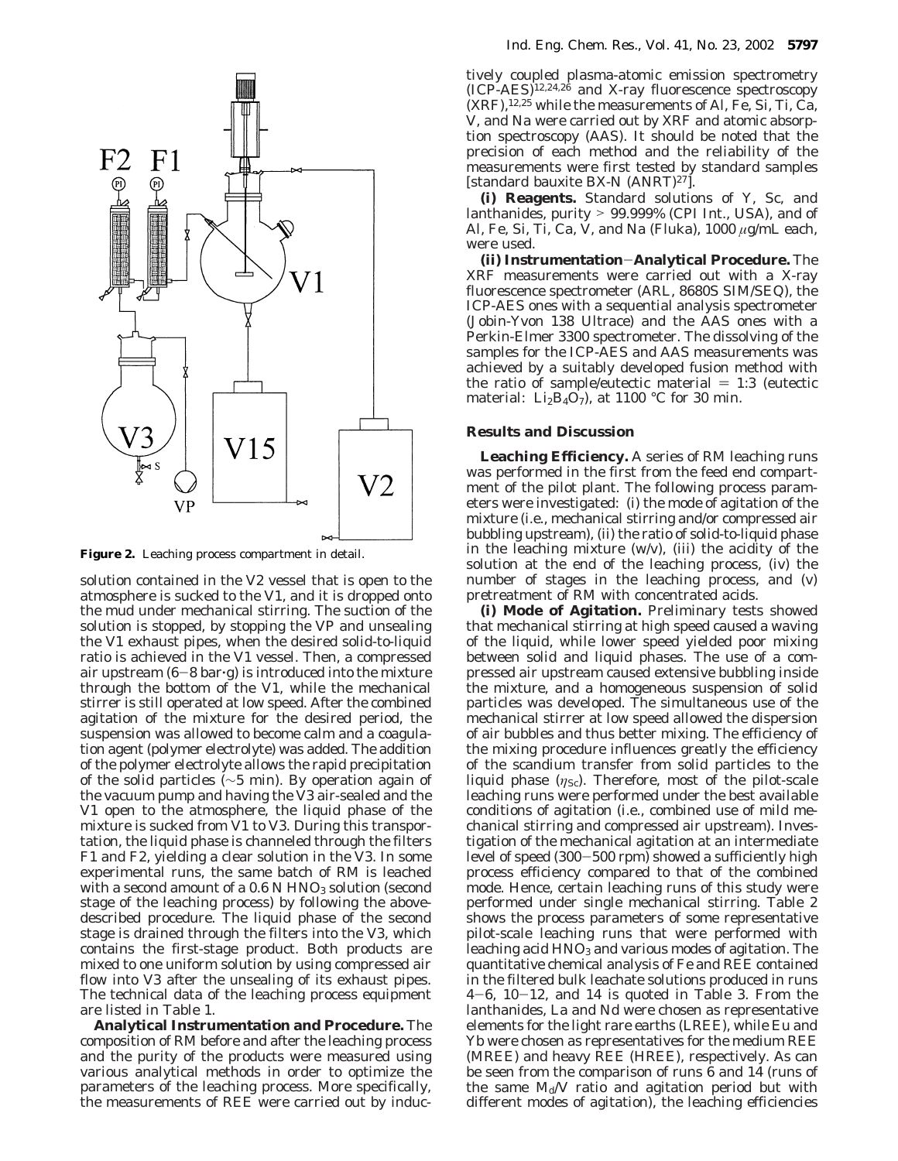

**Figure 2.** Leaching process compartment in detail.

solution contained in the V2 vessel that is open to the atmosphere is sucked to the V1, and it is dropped onto the mud under mechanical stirring. The suction of the solution is stopped, by stopping the VP and unsealing the V1 exhaust pipes, when the desired solid-to-liquid ratio is achieved in the V1 vessel. Then, a compressed air upstream  $(6-8 \text{ bar} \cdot \text{g})$  is introduced into the mixture through the bottom of the V1, while the mechanical stirrer is still operated at low speed. After the combined agitation of the mixture for the desired period, the suspension was allowed to become calm and a coagulation agent (polymer electrolyte) was added. The addition of the polymer electrolyte allows the rapid precipitation of the solid particles (∼5 min). By operation again of the vacuum pump and having the V3 air-sealed and the V1 open to the atmosphere, the liquid phase of the mixture is sucked from V1 to V3. During this transportation, the liquid phase is channeled through the filters F1 and F2, yielding a clear solution in the V3. In some experimental runs, the same batch of RM is leached with a second amount of a  $0.6$  N  $HNO<sub>3</sub>$  solution (second stage of the leaching process) by following the abovedescribed procedure. The liquid phase of the second stage is drained through the filters into the V3, which contains the first-stage product. Both products are mixed to one uniform solution by using compressed air flow into V3 after the unsealing of its exhaust pipes. The technical data of the leaching process equipment are listed in Table 1.

**Analytical Instrumentation and Procedure.** The composition of RM before and after the leaching process and the purity of the products were measured using various analytical methods in order to optimize the parameters of the leaching process. More specifically, the measurements of REE were carried out by induc-

tively coupled plasma-atomic emission spectrometry (ICP-AES)12,24,26 and X-ray fluorescence spectroscopy  $(XRF)$ ,  $12,25$  while the measurements of Al, Fe, Si, Ti, Ca, V, and Na were carried out by XRF and atomic absorption spectroscopy (AAS). It should be noted that the precision of each method and the reliability of the measurements were first tested by standard samples [standard bauxite BX-N (ANRT)<sup>27</sup>].

**(i) Reagents.** Standard solutions of Y, Sc, and lanthanides, purity > 99.999% (CPI Int., USA), and of Al, Fe, Si, Ti, Ca, V, and Na (Fluka), 1000 *µ*g/mL each, were used.

**(ii) Instrumentation**-**Analytical Procedure.** The XRF measurements were carried out with a X-ray fluorescence spectrometer (ARL, 8680S SIM/SEQ), the ICP-AES ones with a sequential analysis spectrometer (Jobin-Yvon 138 Ultrace) and the AAS ones with a Perkin-Elmer 3300 spectrometer. The dissolving of the samples for the ICP-AES and AAS measurements was achieved by a suitably developed fusion method with the ratio of sample/eutectic material  $= 1:3$  (eutectic material:  $Li_2B_4O_7$ ), at 1100 °C for 30 min.

## **Results and Discussion**

**Leaching Efficiency.** A series of RM leaching runs was performed in the first from the feed end compartment of the pilot plant. The following process parameters were investigated: (i) the mode of agitation of the mixture (i.e., mechanical stirring and/or compressed air bubbling upstream), (ii) the ratio of solid-to-liquid phase in the leaching mixture (w/v), (iii) the acidity of the solution at the end of the leaching process, (iv) the number of stages in the leaching process, and (v) pretreatment of RM with concentrated acids.

**(i) Mode of Agitation.** Preliminary tests showed that mechanical stirring at high speed caused a waving of the liquid, while lower speed yielded poor mixing between solid and liquid phases. The use of a compressed air upstream caused extensive bubbling inside the mixture, and a homogeneous suspension of solid particles was developed. The simultaneous use of the mechanical stirrer at low speed allowed the dispersion of air bubbles and thus better mixing. The efficiency of the mixing procedure influences greatly the efficiency of the scandium transfer from solid particles to the liquid phase  $(\eta_{\text{Sc}})$ . Therefore, most of the pilot-scale leaching runs were performed under the best available conditions of agitation (i.e., combined use of mild mechanical stirring and compressed air upstream). Investigation of the mechanical agitation at an intermediate level of speed (300-500 rpm) showed a sufficiently high process efficiency compared to that of the combined mode. Hence, certain leaching runs of this study were performed under single mechanical stirring. Table 2 shows the process parameters of some representative pilot-scale leaching runs that were performed with leaching acid  $HNO<sub>3</sub>$  and various modes of agitation. The quantitative chemical analysis of Fe and REE contained in the filtered bulk leachate solutions produced in runs  $4-6$ ,  $10-12$ , and 14 is quoted in Table 3. From the lanthanides, La and Nd were chosen as representative elements for the light rare earths (LREE), while Eu and Yb were chosen as representatives for the medium REE (MREE) and heavy REE (HREE), respectively. As can be seen from the comparison of runs 6 and 14 (runs of the same  $M_d/V$  ratio and agitation period but with different modes of agitation), the leaching efficiencies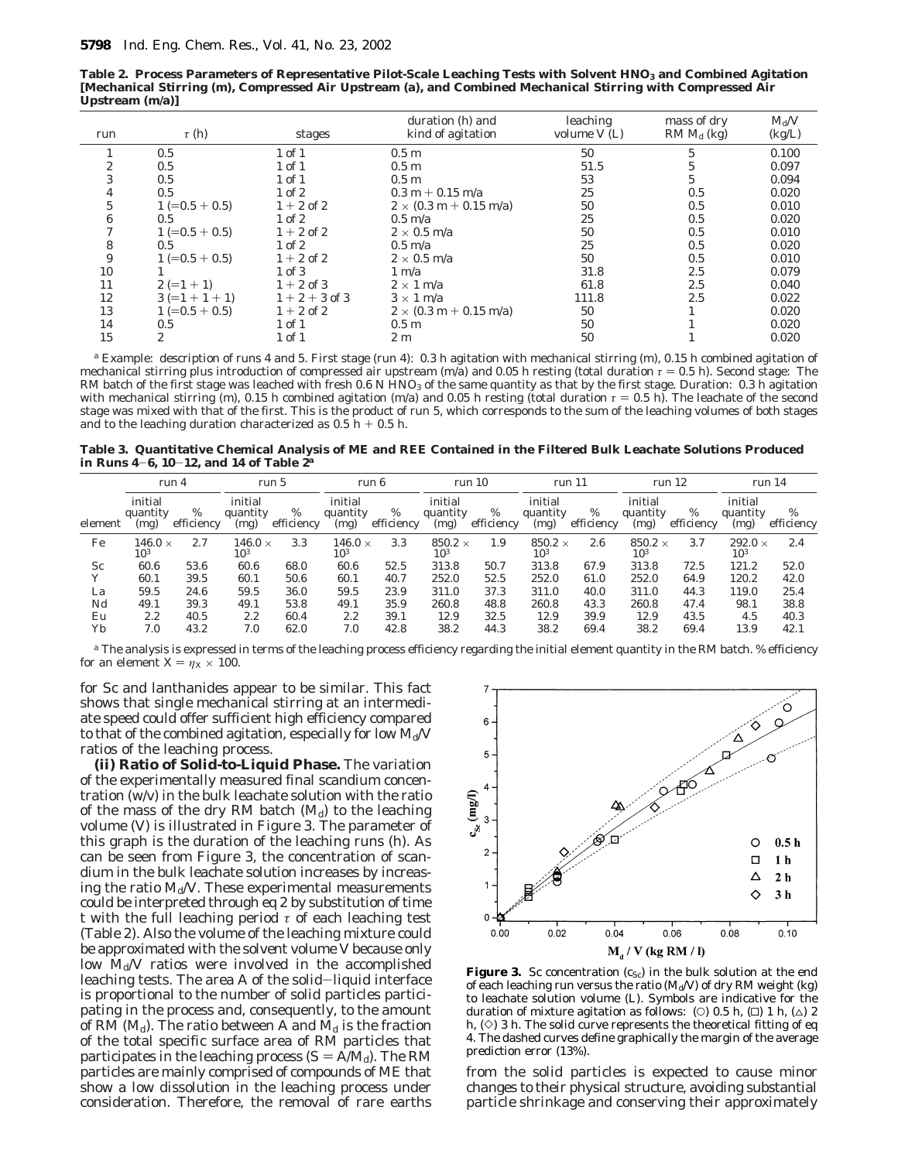| Table 2. Process Parameters of Representative Pilot-Scale Leaching Tests with Solvent HNO <sub>3</sub> and Combined Agitation |  |
|-------------------------------------------------------------------------------------------------------------------------------|--|
| [Mechanical Stirring (m), Compressed Air Upstream (a), and Combined Mechanical Stirring with Compressed Air                   |  |
| Upstream $(m/a)$                                                                                                              |  |

| run              | $\tau$ (h)       | stages           | duration (h) and<br>kind of agitation         | leaching<br>volume $V(L)$ | mass of dry<br>$RM Md$ (kg) | $M_{\rm d}/V$<br>(kg/L) |
|------------------|------------------|------------------|-----------------------------------------------|---------------------------|-----------------------------|-------------------------|
|                  | 0.5              | $1$ of $1$       | 0.5 <sub>m</sub>                              | 50                        | 5                           | 0.100                   |
| $\boldsymbol{2}$ | 0.5              | $1$ of $1$       | 0.5 <sub>m</sub>                              | 51.5                      |                             | 0.097                   |
| 3                | 0.5              | $1$ of $1$       | 0.5 <sub>m</sub>                              | 53                        | 5                           | 0.094                   |
| 4                | 0.5              | $1$ of $2$       | $0.3 m + 0.15 m/a$                            | 25                        | 0.5                         | 0.020                   |
| 5                | $1 (=0.5 + 0.5)$ | $1 + 2$ of 2     | $2 \times (0.3 \text{ m} + 0.15 \text{ m/a})$ | 50                        | 0.5                         | 0.010                   |
| 6                | 0.5              | $1$ of $2$       | $0.5 \text{ m/a}$                             | 25                        | 0.5                         | 0.020                   |
| 7                | $1 (=0.5 + 0.5)$ | $1 + 2$ of 2     | $2 \times 0.5$ m/a                            | 50                        | 0.5                         | 0.010                   |
| 8                | 0.5              | $1$ of $2$       | $0.5 \text{ m/a}$                             | 25                        | 0.5                         | 0.020                   |
| 9                | $1 (=0.5 + 0.5)$ | $1 + 2$ of 2     | $2 \times 0.5$ m/a                            | 50                        | 0.5                         | 0.010                   |
| 10               |                  | $1$ of $3$       | $1 \text{ m/a}$                               | 31.8                      | 2.5                         | 0.079                   |
| 11               | $2 (=1 + 1)$     | $1 + 2$ of 3     | $2 \times 1$ m/a                              | 61.8                      | 2.5                         | 0.040                   |
| 12               | $3 (=1 + 1 + 1)$ | $1 + 2 + 3$ of 3 | $3 \times 1$ m/a                              | 111.8                     | 2.5                         | 0.022                   |
| 13               | $1 (=0.5 + 0.5)$ | $1 + 2$ of 2     | $2 \times (0.3 \text{ m} + 0.15 \text{ m/a})$ | 50                        |                             | 0.020                   |
| 14               | 0.5              | $1$ of $1$       | 0.5 <sub>m</sub>                              | 50                        |                             | 0.020                   |
| 15               | $\overline{2}$   | $1$ of $1$       | 2m                                            | 50                        |                             | 0.020                   |

*<sup>a</sup>* Example: description of runs 4 and 5. First stage (run 4): 0.3 h agitation with mechanical stirring (m), 0.15 h combined agitation of mechanical stirring plus introduction of compressed air upstream  $(m/a)$  and 0.05 h resting (total duration  $\tau = 0.5$  h). Second stage: The RM batch of the first stage was leached with fresh 0.6 N HNO<sub>3</sub> of the same quantity as that by the first stage. Duration: 0.3 h agitation with mechanical stirring (m), 0.15 h combined agitation (m/a) and 0.05 h resting (total duration  $\tau = 0.5$  h). The leachate of the second stage was mixed with that of the first. This is the product of run 5, which corresponds to the sum of the leaching volumes of both stages and to the leaching duration characterized as  $0.5 h + 0.5 h$ .

**Table 3. Quantitative Chemical Analysis of ME and REE Contained in the Filtered Bulk Leachate Solutions Produced in Runs 4**-**6, 10**-**12, and 14 of Table 2***<sup>a</sup>*

|           | run $4$                     |                 | run 5                       |                 | run 6                       |                 | run <sub>10</sub>           |                 | run <sub>11</sub>           |                 | run $12$                    |                 | run $14$                    |                 |
|-----------|-----------------------------|-----------------|-----------------------------|-----------------|-----------------------------|-----------------|-----------------------------|-----------------|-----------------------------|-----------------|-----------------------------|-----------------|-----------------------------|-----------------|
| element   | initial<br>quantity<br>(mg) | %<br>efficiency | initial<br>quantity<br>(mg) | %<br>efficiency | initial<br>quantity<br>(mg) | %<br>efficiency | initial<br>quantity<br>(mg) | %<br>efficiency | initial<br>quantity<br>(mg) | %<br>efficiency | initial<br>quantity<br>(mg) | %<br>efficiency | initial<br>quantity<br>(mg) | %<br>efficiency |
| Fe        | 146.0 $\times$<br>$10^{3}$  | 2.7             | 146.0 $\times$<br>$10^{3}$  | 3.3             | 146.0 $\times$<br>$10^{3}$  | 3.3             | 850.2 $\times$<br>$10^{3}$  | 1.9             | $850.2 \times$<br>$10^{3}$  | 2.6             | $850.2 \times$<br>$10^{3}$  | 3.7             | 292.0 $\times$<br>$10^{3}$  | 2.4             |
| <b>Sc</b> | 60.6                        | 53.6            | 60.6                        | 68.0            | 60.6                        | 52.5            | 313.8                       | 50.7            | 313.8                       | 67.9            | 313.8                       | 72.5            | 121.2                       | 52.0            |
| Y         | 60.1                        | 39.5            | 60.1                        | 50.6            | 60.1                        | 40.7            | 252.0                       | 52.5            | 252.0                       | 61.0            | 252.0                       | 64.9            | 120.2                       | 42.0            |
| La        | 59.5                        | 24.6            | 59.5                        | 36.0            | 59.5                        | 23.9            | 311.0                       | 37.3            | 311.0                       | 40.0            | 311.0                       | 44.3            | 119.0                       | 25.4            |
| Nd        | 49.1                        | 39.3            | 49.1                        | 53.8            | 49.1                        | 35.9            | 260.8                       | 48.8            | 260.8                       | 43.3            | 260.8                       | 47.4            | 98.1                        | 38.8            |
| Eu        | 2.2                         | 40.5            | $2.2\,$                     | 60.4            | 2.2                         | 39.1            | 12.9                        | 32.5            | 12.9                        | 39.9            | 12.9                        | 43.5            | 4.5                         | 40.3            |
| Yb        | 7.0                         | 43.2            | 7.0                         | 62.0            | 7.0                         | 42.8            | 38.2                        | 44.3            | 38.2                        | 69.4            | 38.2                        | 69.4            | 13.9                        | 42.1            |

*<sup>a</sup>* The analysis is expressed in terms of the leaching process efficiency regarding the initial element quantity in the RM batch. % efficiency for an element  $X = \eta_X \times 100$ .

for Sc and lanthanides appear to be similar. This fact shows that single mechanical stirring at an intermediate speed could offer sufficient high efficiency compared to that of the combined agitation, especially for low  $M_d/V$ ratios of the leaching process.

**(ii) Ratio of Solid-to-Liquid Phase.** The variation of the experimentally measured final scandium concentration (w/v) in the bulk leachate solution with the ratio of the mass of the dry RM batch  $(M_d)$  to the leaching volume (*V*) is illustrated in Figure 3. The parameter of this graph is the duration of the leaching runs (h). As can be seen from Figure 3, the concentration of scandium in the bulk leachate solution increases by increasing the ratio  $M_d/V$ . These experimental measurements could be interpreted through eq 2 by substitution of time *t* with the full leaching period *τ* of each leaching test (Table 2). Also the volume of the leaching mixture could be approximated with the solvent volume *V* because only low  $M_d/V$  ratios were involved in the accomplished leaching tests. The area *<sup>A</sup>* of the solid-liquid interface is proportional to the number of solid particles participating in the process and, consequently, to the amount of RM  $(M_d)$ . The ratio between *A* and  $M_d$  is the fraction of the total specific surface area of RM particles that participates in the leaching process ( $S = A/M_d$ ). The RM particles are mainly comprised of compounds of ME that show a low dissolution in the leaching process under consideration. Therefore, the removal of rare earths



**Figure 3.** Sc concentration  $(c_{Sc})$  in the bulk solution at the end of each leaching run versus the ratio  $(M_d/V)$  of dry RM weight (kg) to leachate solution volume (L). Symbols are indicative for the duration of mixture agitation as follows: (O) 0.5 h, ( $\square$ ) 1 h, ( $\triangle$ ) 2 h,  $(\Diamond)$  3 h. The solid curve represents the theoretical fitting of eq 4. The dashed curves define graphically the margin of the average prediction error (13%).

from the solid particles is expected to cause minor changes to their physical structure, avoiding substantial particle shrinkage and conserving their approximately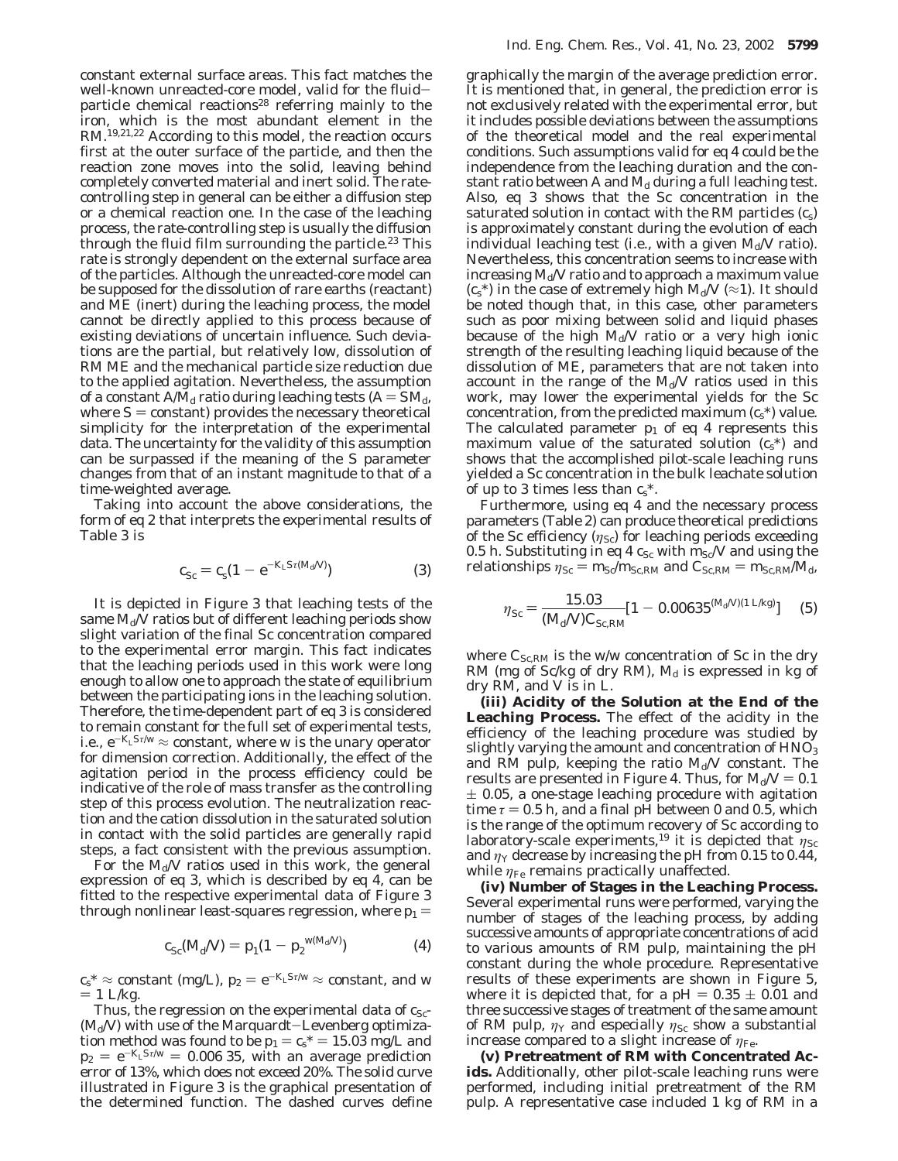constant external surface areas. This fact matches the well-known unreacted-core model, valid for the fluidparticle chemical reactions<sup>28</sup> referring mainly to the iron, which is the most abundant element in the RM.19,21,22 According to this model, the reaction occurs first at the outer surface of the particle, and then the reaction zone moves into the solid, leaving behind completely converted material and inert solid. The ratecontrolling step in general can be either a diffusion step or a chemical reaction one. In the case of the leaching process, the rate-controlling step is usually the diffusion through the fluid film surrounding the particle.<sup>23</sup> This rate is strongly dependent on the external surface area of the particles. Although the unreacted-core model can be supposed for the dissolution of rare earths (reactant) and ME (inert) during the leaching process, the model cannot be directly applied to this process because of existing deviations of uncertain influence. Such deviations are the partial, but relatively low, dissolution of RM ME and the mechanical particle size reduction due to the applied agitation. Nevertheless, the assumption of a constant  $A/M_d$  ratio during leaching tests ( $A = SM_d$ , where  $S =$  constant) provides the necessary theoretical simplicity for the interpretation of the experimental data. The uncertainty for the validity of this assumption can be surpassed if the meaning of the *S* parameter changes from that of an instant magnitude to that of a time-weighted average.

Taking into account the above considerations, the form of eq 2 that interprets the experimental results of Table 3 is

$$
c_{\rm Sc} = c_{\rm s} (1 - e^{-K_{\rm L} St(M_{\rm d}/V)}) \tag{3}
$$

It is depicted in Figure 3 that leaching tests of the same  $M_d/V$  ratios but of different leaching periods show slight variation of the final Sc concentration compared to the experimental error margin. This fact indicates that the leaching periods used in this work were long enough to allow one to approach the state of equilibrium between the participating ions in the leaching solution. Therefore, the time-dependent part of eq 3 is considered to remain constant for the full set of experimental tests, i.e.,  $e^{-K_L S t/w} \approx$  constant, where *w* is the unary operator for dimension correction. Additionally, the effect of the agitation period in the process efficiency could be indicative of the role of mass transfer as the controlling step of this process evolution. The neutralization reaction and the cation dissolution in the saturated solution in contact with the solid particles are generally rapid steps, a fact consistent with the previous assumption.

For the  $M_d/V$  ratios used in this work, the general expression of eq 3, which is described by eq 4, can be fitted to the respective experimental data of Figure 3 through nonlinear least-squares regression, where  $p_1 =$ 

$$
c_{\rm Sc}(M_{\rm d}/V) = p_1(1 - p_2^{W(M_{\rm d}/V)}) \tag{4}
$$

 $c_s^* \approx$  constant (mg/L),  $p_2 = e^{-K_L S t/w} \approx$  constant, and *w*  $= 1$  L/kg.

Thus, the regression on the experimental data of  $c_{Sc}$ ( $M_d$ /*V*) with use of the Marquardt-Levenberg optimization method was found to be  $p_1 = c_s^* = 15.03$  mg/L and  $p_2 = e^{-K_L S t/w} = 0.00635$ , with an average prediction error of 13%, which does not exceed 20%. The solid curve illustrated in Figure 3 is the graphical presentation of the determined function. The dashed curves define

graphically the margin of the average prediction error. It is mentioned that, in general, the prediction error is not exclusively related with the experimental error, but it includes possible deviations between the assumptions of the theoretical model and the real experimental conditions. Such assumptions valid for eq 4 could be the independence from the leaching duration and the constant ratio between  $A$  and  $M_d$  during a full leaching test. Also, eq 3 shows that the Sc concentration in the saturated solution in contact with the RM particles (*c*s) is approximately constant during the evolution of each individual leaching test (i.e., with a given  $M_d/V$  ratio). Nevertheless, this concentration seems to increase with increasing  $M_d/V$  ratio and to approach a maximum value  $(c<sub>s</sub><sup>*</sup>)$  in the case of extremely high  $M_d/V (\approx 1)$ . It should be noted though that, in this case, other parameters such as poor mixing between solid and liquid phases because of the high  $M_d/V$  ratio or a very high ionic strength of the resulting leaching liquid because of the dissolution of ME, parameters that are not taken into account in the range of the  $M_d/V$  ratios used in this work, may lower the experimental yields for the Sc concentration, from the predicted maximum  $(c<sub>s</sub><sup>*</sup>)$  value. The calculated parameter  $p_1$  of eq 4 represents this maximum value of the saturated solution  $(c_s^*)$  and shows that the accomplished pilot-scale leaching runs yielded a Sc concentration in the bulk leachate solution of up to 3 times less than  $c_s^*$ .

Furthermore, using eq 4 and the necessary process parameters (Table 2) can produce theoretical predictions of the Sc efficiency (*η*<sub>Sc</sub>) for leaching periods exceeding 0.5 h. Substituting in eq 4  $c_{Sc}$  with  $m_{Sc}/V$  and using the relationships  $\eta_{\rm Sc} = m_{\rm Sc}/m_{\rm Sc,RM}$  and  $C_{\rm Sc,RM} = m_{\rm Sc,RM}/M_{\rm d}$ ,

$$
\eta_{\rm Sc} = \frac{15.03}{(M_{\rm d}/V)C_{\rm Sc,RM}} [1 - 0.00635^{(M_{\rm d}/V)(1 \text{ L/kg})}] \tag{5}
$$

where  $C_{\text{Sc,RM}}$  is the w/w concentration of Sc in the dry RM (mg of Sc/kg of dry RM),  $M_d$  is expressed in kg of dry RM, and *V* is in L.

**(iii) Acidity of the Solution at the End of the Leaching Process.** The effect of the acidity in the efficiency of the leaching procedure was studied by slightly varying the amount and concentration of  $HNO<sub>3</sub>$ and RM pulp, keeping the ratio  $M_d/V$  constant. The results are presented in Figure 4. Thus, for  $M_d/V = 0.1$  $\pm$  0.05, a one-stage leaching procedure with agitation time  $\tau = 0.5$  h, and a final pH between 0 and 0.5, which is the range of the optimum recovery of Sc according to laboratory-scale experiments,<sup>19</sup> it is depicted that  $η<sub>Sc</sub>$ and  $\eta_Y$  decrease by increasing the pH from 0.15 to 0.44, while  $\eta_{\text{Fe}}$  remains practically unaffected.

**(iv) Number of Stages in the Leaching Process.** Several experimental runs were performed, varying the number of stages of the leaching process, by adding successive amounts of appropriate concentrations of acid to various amounts of RM pulp, maintaining the pH constant during the whole procedure. Representative results of these experiments are shown in Figure 5, where it is depicted that, for a pH =  $0.35 \pm 0.01$  and three successive stages of treatment of the same amount of RM pulp,  $η$  and especially  $η$ <sub>Sc</sub> show a substantial increase compared to a slight increase of  $\eta_{\text{Fe}}$ .

**(v) Pretreatment of RM with Concentrated Acids.** Additionally, other pilot-scale leaching runs were performed, including initial pretreatment of the RM pulp. A representative case included 1 kg of RM in a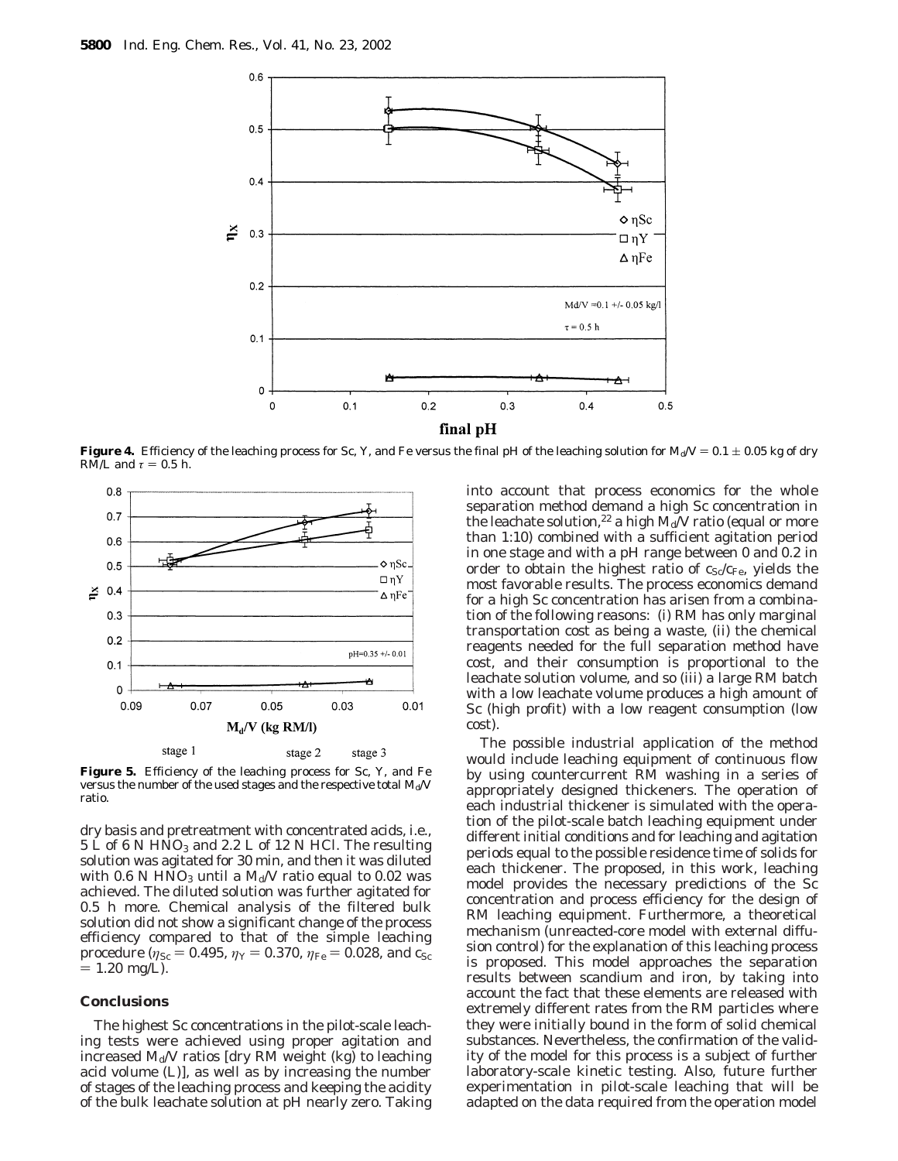

**Figure 4.** Efficiency of the leaching process for Sc, Y, and Fe versus the final pH of the leaching solution for  $M_d/V = 0.1 \pm 0.05$  kg of dry RM/L and  $\tau = 0.5$  h.



**Figure 5.** Efficiency of the leaching process for Sc, Y, and Fe versus the number of the used stages and the respective total  $M_d/V$ ratio.

dry basis and pretreatment with concentrated acids, i.e.,  $5 L$  of 6 N HNO<sub>3</sub> and 2.2 L of 12 N HCl. The resulting solution was agitated for 30 min, and then it was diluted with 0.6 N HNO<sub>3</sub> until a  $M_d/V$  ratio equal to 0.02 was achieved. The diluted solution was further agitated for 0.5 h more. Chemical analysis of the filtered bulk solution did not show a significant change of the process efficiency compared to that of the simple leaching procedure ( $\eta_{Sc} = 0.495$ ,  $\eta_{Y} = 0.370$ ,  $\eta_{Fe} = 0.028$ , and  $c_{Sc}$  $= 1.20$  mg/L).

## **Conclusions**

The highest Sc concentrations in the pilot-scale leaching tests were achieved using proper agitation and increased  $M_d/V$  ratios [dry RM weight (kg) to leaching acid volume (L)], as well as by increasing the number of stages of the leaching process and keeping the acidity of the bulk leachate solution at pH nearly zero. Taking

into account that process economics for the whole separation method demand a high Sc concentration in the leachate solution,<sup>22</sup> a high  $M_d/V$  ratio (equal or more than 1:10) combined with a sufficient agitation period in one stage and with a pH range between 0 and 0.2 in order to obtain the highest ratio of  $c_{\rm Sc}/c_{\rm Fe}$ , yields the most favorable results. The process economics demand for a high Sc concentration has arisen from a combination of the following reasons: (i) RM has only marginal transportation cost as being a waste, (ii) the chemical reagents needed for the full separation method have cost, and their consumption is proportional to the leachate solution volume, and so (iii) a large RM batch with a low leachate volume produces a high amount of Sc (high profit) with a low reagent consumption (low cost).

The possible industrial application of the method would include leaching equipment of continuous flow by using countercurrent RM washing in a series of appropriately designed thickeners. The operation of each industrial thickener is simulated with the operation of the pilot-scale batch leaching equipment under different initial conditions and for leaching and agitation periods equal to the possible residence time of solids for each thickener. The proposed, in this work, leaching model provides the necessary predictions of the Sc concentration and process efficiency for the design of RM leaching equipment. Furthermore, a theoretical mechanism (unreacted-core model with external diffusion control) for the explanation of this leaching process is proposed. This model approaches the separation results between scandium and iron, by taking into account the fact that these elements are released with extremely different rates from the RM particles where they were initially bound in the form of solid chemical substances. Nevertheless, the confirmation of the validity of the model for this process is a subject of further laboratory-scale kinetic testing. Also, future further experimentation in pilot-scale leaching that will be adapted on the data required from the operation model